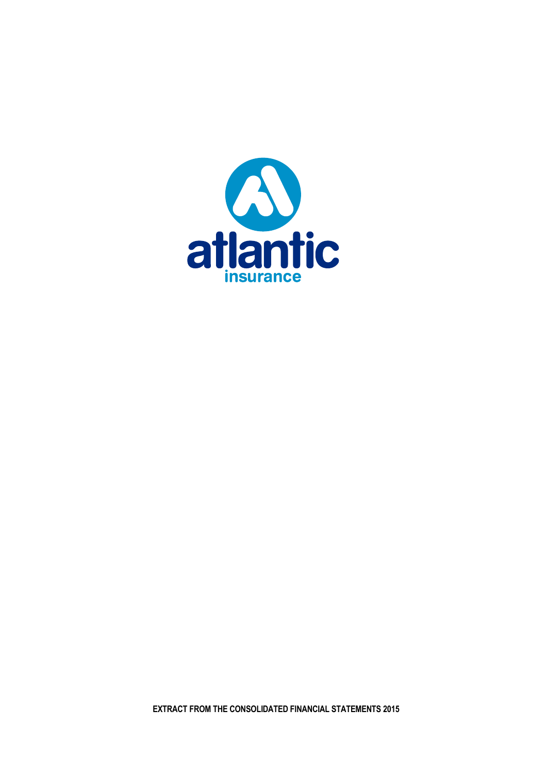

**EXTRACT FROM THE CONSOLIDATED FINANCIAL STATEMENTS 2015**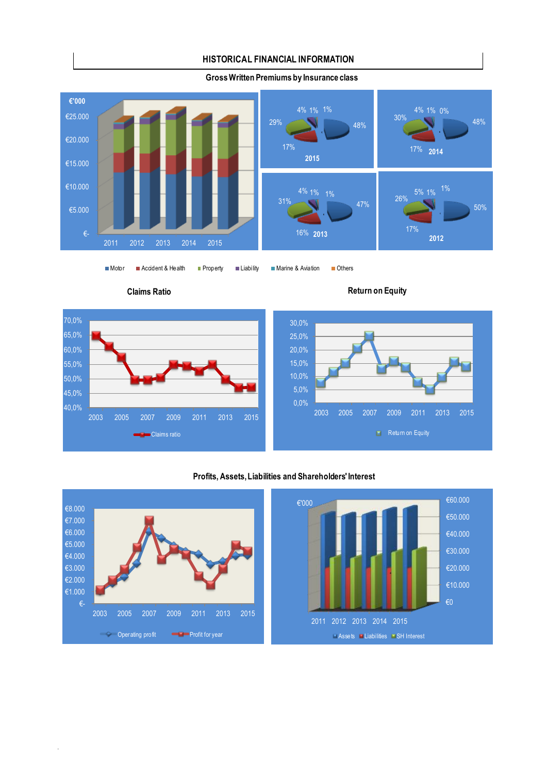### **HISTORICAL FINANCIAL INFORMATION**



**Gross Written Premiums by Insurance class**

Claims ratio

.

40,0% 45,0% 50,0% 55,0% 60,0% 65,0% 70,0%

Motor Accident & Health Property Liability Marine & Aviation Others



### **Profits, Assets, Liabilities and Shareholders' Interest**

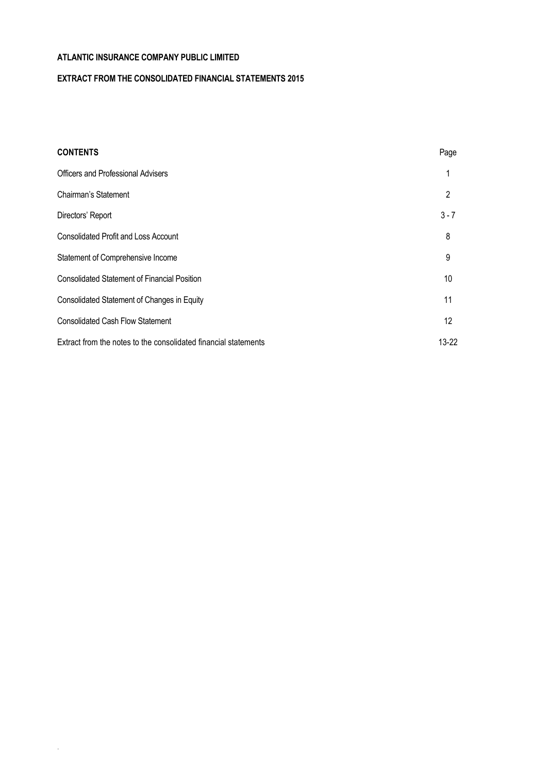.

# **EXTRACT FROM THE CONSOLIDATED FINANCIAL STATEMENTS 2015**

| <b>CONTENTS</b>                                                 | Page              |
|-----------------------------------------------------------------|-------------------|
| Officers and Professional Advisers                              |                   |
| Chairman's Statement                                            | $\mathcal{P}$     |
| Directors' Report                                               | $3 - 7$           |
| <b>Consolidated Profit and Loss Account</b>                     | 8                 |
| Statement of Comprehensive Income                               | 9                 |
| <b>Consolidated Statement of Financial Position</b>             | 10                |
| Consolidated Statement of Changes in Equity                     | 11                |
| <b>Consolidated Cash Flow Statement</b>                         | $12 \overline{ }$ |
| Extract from the notes to the consolidated financial statements | $13-22$           |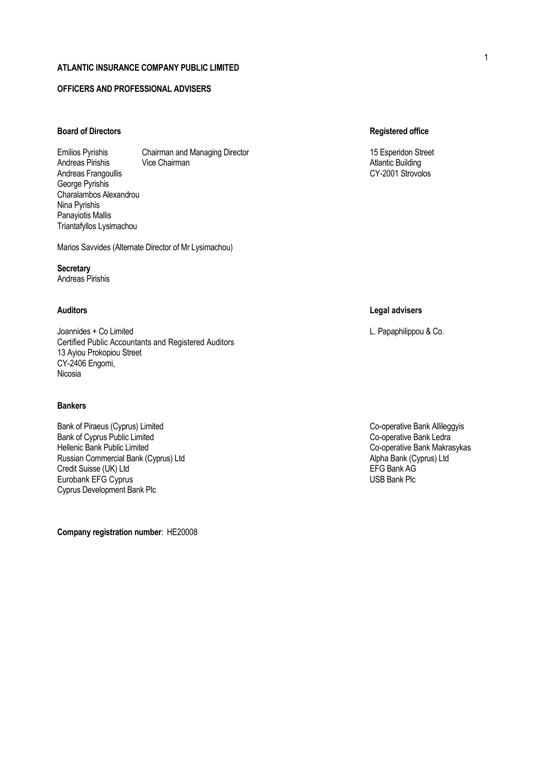## **OFFICERS AND PROFESSIONAL ADVISERS**

# **Board of Directors Registered office**

Emilios Pyrishis Chairman and Managing Director 15 Esperidon Street 15 Esperidon Street Andreas Pirishis Vice Chairman Atlantic Building Andreas Frangoullis George Pyrishis Charalambos Alexandrou Nina Pyrishis Panayiotis Mallis Triantafyllos Lysimachou

Marios Savvides (Alternate Director of Mr Lysimachou)

**Secretary** Andreas Pirishis

Joannides + Co Limited L. Papaphilippou & Co. Certified Public Accountants and Registered Auditors 13 Ayiou Prokopiou Street CY-2406 Engomi, Nicosia

### **Bankers**

Bank of Piraeus (Cyprus) Limited Co-operative Bank Allileggyis<br>Bank of Cyprus Public Limited Co-operative Bank Ledra Bank of Cyprus Public Limited<br>Hellenic Bank Public Limited Russian Commercial Bank (Cyprus) Ltd<br>Credit Suisse (UK) Ltd Alpha Bank (Cyprus) Ltd Alpha Bank AG Alpha Bank AG Alpha Bank AG Alpha Bank AG Alpha B Credit Suisse (UK) Ltd<br>
Eine Bank AG Eurobank EFG Cyprus<br>
Eurobank EFG Cyprus Eurobank EFG Cyprus Cyprus Development Bank Plc

**Company registration number**: ΗΕ20008

### **Auditors Legal advisers**

Co-operative Bank Makrasykas<br>Alpha Bank (Cyprus) Ltd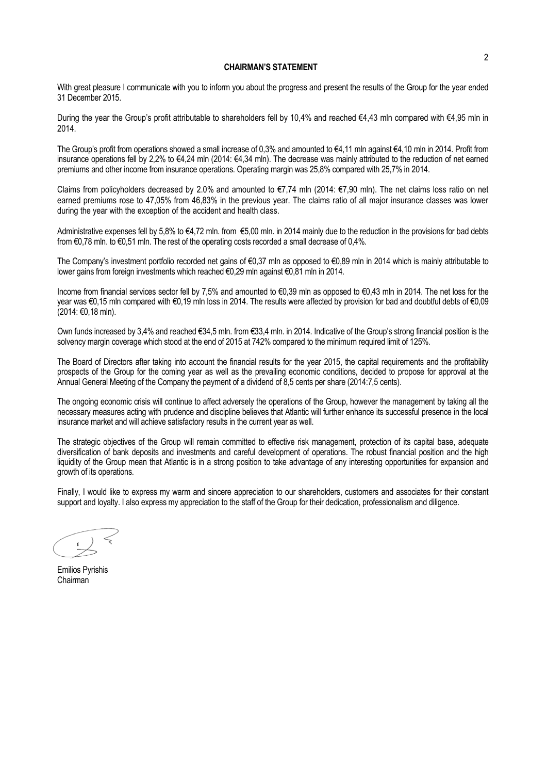### **CHAIRMAN'S STATEMENT**

With great pleasure I communicate with you to inform you about the progress and present the results of the Group for the year ended 31 December 2015.

During the year the Group's profit attributable to shareholders fell by 10,4% and reached €4,43 mln compared with €4,95 mln in 2014.

The Group's profit from operations showed a small increase of 0,3% and amounted to €4,11 mln against €4,10 mln in 2014. Profit from insurance operations fell by 2,2% to €4,24 mln (2014: €4,34 mln). The decrease was mainly attributed to the reduction of net earned premiums and other income from insurance operations. Operating margin was 25,8% compared with 25,7% in 2014.

Claims from policyholders decreased by 2.0% and amounted to €7,74 mln (2014: €7,90 mln). The net claims loss ratio on net earned premiums rose to 47,05% from 46,83% in the previous year. The claims ratio of all major insurance classes was lower during the year with the exception of the accident and health class.

Administrative expenses fell by 5,8% to  $\epsilon$ 4,72 mln. from  $\epsilon$ 5,00 mln. in 2014 mainly due to the reduction in the provisions for bad debts from €0,78 mln. to €0,51 mln. The rest of the operating costs recorded a small decrease of 0,4%.

The Company's investment portfolio recorded net gains of €0,37 mln as opposed to €0,89 mln in 2014 which is mainly attributable to lower gains from foreign investments which reached €0,29 mln against €0,81 mln in 2014.

Income from financial services sector fell by 7,5% and amounted to €0,39 mln as opposed to €0,43 mln in 2014. The net loss for the year was €0,15 mln compared with €0,19 mln loss in 2014. The results were affected by provision for bad and doubtful debts of €0,09 (2014: €0,18 mln).

Own funds increased by 3,4% and reached €34,5 mln. from €33,4 mln. in 2014. Indicative of the Group's strong financial position is the solvency margin coverage which stood at the end of 2015 at 742% compared to the minimum required limit of 125%.

The Board of Directors after taking into account the financial results for the year 2015, the capital requirements and the profitability prospects of the Group for the coming year as well as the prevailing economic conditions, decided to propose for approval at the Annual General Meeting of the Company the payment of a dividend of 8,5 cents per share (2014:7,5 cents).

The ongoing economic crisis will continue to affect adversely the operations of the Group, however the management by taking all the necessary measures acting with prudence and discipline believes that Atlantic will further enhance its successful presence in the local insurance market and will achieve satisfactory results in the current year as well.

The strategic objectives of the Group will remain committed to effective risk management, protection of its capital base, adequate diversification of bank deposits and investments and careful development of operations. The robust financial position and the high liquidity of the Group mean that Atlantic is in a strong position to take advantage of any interesting opportunities for expansion and growth of its operations.

Finally, I would like to express my warm and sincere appreciation to our shareholders, customers and associates for their constant support and loyalty. I also express my appreciation to the staff of the Group for their dedication, professionalism and diligence.

Emilios Pyrishis Chairman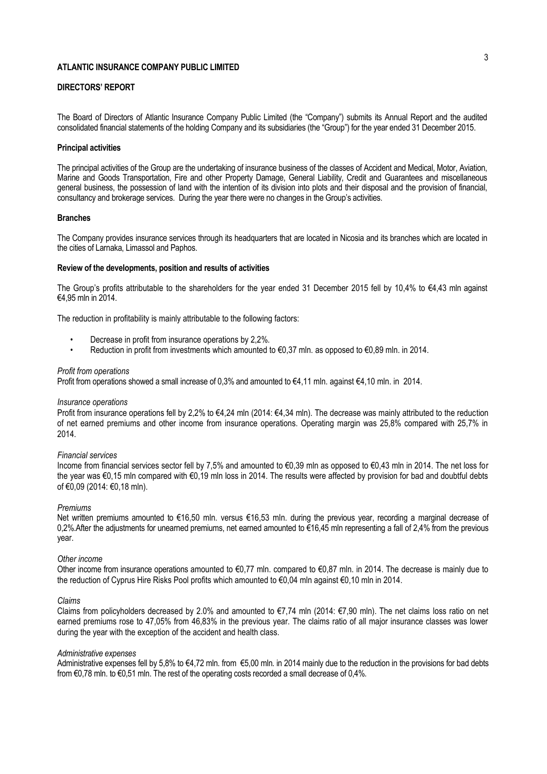### **DIRECTORS' REPORT**

The Board of Directors of Atlantic Insurance Company Public Limited (the "Company") submits its Annual Report and the audited consolidated financial statements of the holding Company and its subsidiaries (the "Group") for the year ended 31 December 2015.

### **Principal activities**

The principal activities of the Group are the undertaking of insurance business of the classes of Accident and Medical, Motor, Aviation, Marine and Goods Transportation, Fire and other Property Damage, General Liability, Credit and Guarantees and miscellaneous general business, the possession of land with the intention of its division into plots and their disposal and the provision of financial, consultancy and brokerage services. During the year there were no changes in the Group's activities.

### **Branches**

The Company provides insurance services through its headquarters that are located in Nicosia and its branches which are located in the cities of Larnaka, Limassol and Paphos.

### **Review of the developments, position and results of activities**

The Group's profits attributable to the shareholders for the year ended 31 December 2015 fell by 10.4% to  $\epsilon$ 4.43 mln against €4,95 mln in 2014.

The reduction in profitability is mainly attributable to the following factors:

- Decrease in profit from insurance operations by 2,2%.
- Reduction in profit from investments which amounted to  $€0,37$  mln. as opposed to  $€0,89$  mln. in 2014.

#### *Profit from operations*

Profit from operations showed a small increase of 0,3% and amounted to €4,11 mln. against €4,10 mln. in 2014.

#### *Insurance operations*

Profit from insurance operations fell by 2,2% to €4,24 mln (2014: €4,34 mln). The decrease was mainly attributed to the reduction of net earned premiums and other income from insurance operations. Operating margin was 25,8% compared with 25,7% in 2014.

#### *Financial services*

Income from financial services sector fell by 7,5% and amounted to €0,39 mln as opposed to €0,43 mln in 2014. The net loss for the year was €0,15 mln compared with €0,19 mln loss in 2014. The results were affected by provision for bad and doubtful debts of €0,09 (2014: €0,18 mln).

### *Premiums*

Net written premiums amounted to €16,50 mln. versus €16,53 mln. during the previous year, recording a marginal decrease of 0,2%.After the adjustments for unearned premiums, net earned amounted to €16,45 mln representing a fall of 2,4% from the previous year.

#### *Other income*

Other income from insurance operations amounted to  $E$ 0,77 mln. compared to  $E$ 0,87 mln. in 2014. The decrease is mainly due to the reduction of Cyprus Hire Risks Pool profits which amounted to €0,04 mln against €0,10 mln in 2014.

#### *Claims*

Claims from policyholders decreased by 2.0% and amounted to €7,74 mln (2014: €7,90 mln). The net claims loss ratio on net earned premiums rose to 47,05% from 46,83% in the previous year. The claims ratio of all major insurance classes was lower during the year with the exception of the accident and health class.

#### *Administrative expenses*

Administrative expenses fell by 5,8% to  $\epsilon$ 4,72 mln. from  $\epsilon$ 5,00 mln. in 2014 mainly due to the reduction in the provisions for bad debts from €0,78 mln. to €0,51 mln. The rest of the operating costs recorded a small decrease of 0,4%.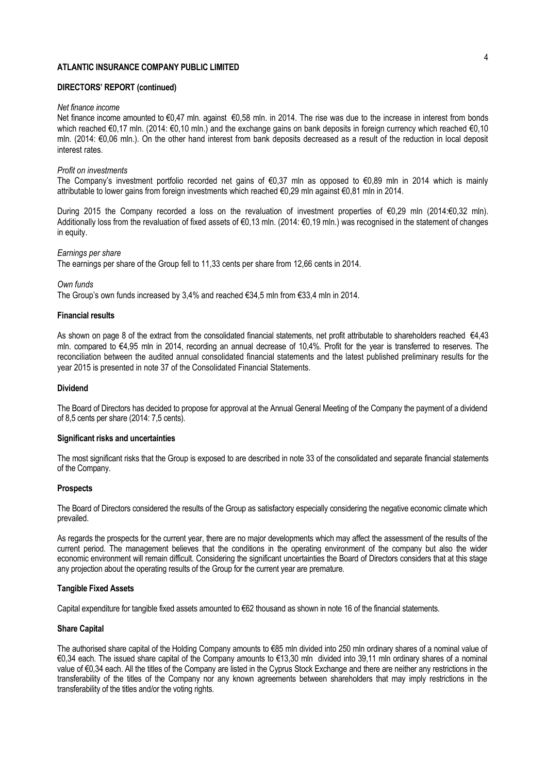### **DIRECTORS' REPORT (continued)**

#### *Net finance income*

Net finance income amounted to €0,47 mln. against €0,58 mln. in 2014. The rise was due to the increase in interest from bonds which reached €0,17 mln. (2014: €0,10 mln.) and the exchange gains on bank deposits in foreign currency which reached €0,10 mln. (2014: €0,06 mln.). On the other hand interest from bank deposits decreased as a result of the reduction in local deposit interest rates.

### *Profit on investments*

The Company's investment portfolio recorded net gains of €0,37 mln as opposed to €0,89 mln in 2014 which is mainly attributable to lower gains from foreign investments which reached €0,29 mln against €0,81 mln in 2014.

During 2015 the Company recorded a loss on the revaluation of investment properties of €0,29 mln (2014:€0,32 mln). Additionally loss from the revaluation of fixed assets of €0,13 mln. (2014: €0,19 mln.) was recognised in the statement of changes in equity.

#### *Earnings per share*

The earnings per share of the Group fell to 11,33 cents per share from 12,66 cents in 2014.

#### *Own funds*

The Group's own funds increased by 3,4% and reached €34,5 mln from €33,4 mln in 2014.

#### **Financial results**

As shown on page 8 of the extract from the consolidated financial statements, net profit attributable to shareholders reached €4,43 mln. compared to €4,95 mln in 2014, recording an annual decrease of 10,4%. Profit for the year is transferred to reserves. The reconciliation between the audited annual consolidated financial statements and the latest published preliminary results for the year 2015 is presented in note 37 of the Consolidated Financial Statements.

### **Dividend**

The Board of Directors has decided to propose for approval at the Annual General Meeting of the Company the payment of a dividend of 8,5 cents per share (2014: 7,5 cents).

### **Significant risks and uncertainties**

The most significant risks that the Group is exposed to are described in note 33 of the consolidated and separate financial statements of the Company.

### **Prospects**

The Board of Directors considered the results of the Group as satisfactory especially considering the negative economic climate which prevailed.

As regards the prospects for the current year, there are no major developments which may affect the assessment of the results of the current period. The management believes that the conditions in the operating environment of the company but also the wider economic environment will remain difficult. Considering the significant uncertainties the Board of Directors considers that at this stage any projection about the operating results of the Group for the current year are premature.

#### **Tangible Fixed Assets**

Capital expenditure for tangible fixed assets amounted to €62 thousand as shown in note 16 of the financial statements.

### **Share Capital**

The authorised share capital of the Holding Company amounts to €85 mln divided into 250 mln ordinary shares of a nominal value of €0,34 each. The issued share capital of the Company amounts to €13,30 mln divided into 39,11 mln ordinary shares of a nominal value of €0,34 each. All the titles of the Company are listed in the Cyprus Stock Exchange and there are neither any restrictions in the transferability of the titles of the Company nor any known agreements between shareholders that may imply restrictions in the transferability of the titles and/or the voting rights.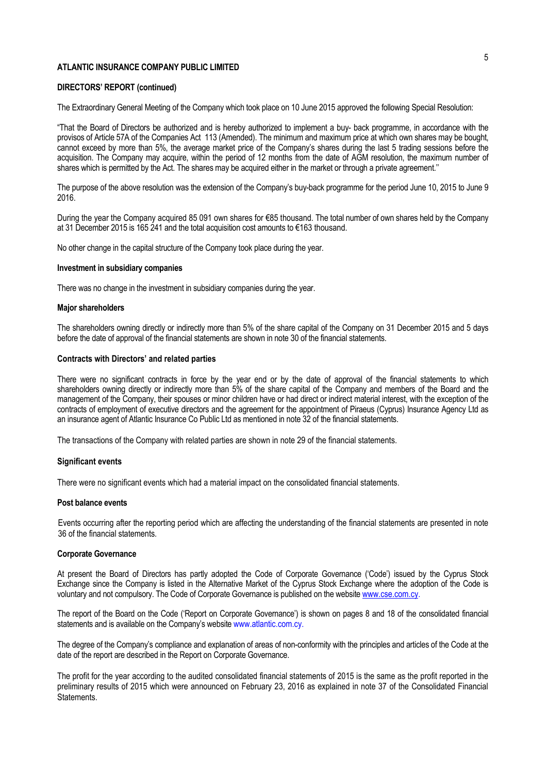### **DIRECTORS' REPORT (continued)**

The Extraordinary General Meeting of the Company which took place on 10 June 2015 approved the following Special Resolution:

"That the Board of Directors be authorized and is hereby authorized to implement a buy- back programme, in accordance with the provisos of Article 57A of the Companies Act 113 (Amended). The minimum and maximum price at which own shares may be bought, cannot exceed by more than 5%, the average market price of the Company's shares during the last 5 trading sessions before the acquisition. The Company may acquire, within the period of 12 months from the date of AGM resolution, the maximum number of shares which is permitted by the Act. The shares may be acquired either in the market or through a private agreement.''

The purpose of the above resolution was the extension of the Company's buy-back programme for the period June 10, 2015 to June 9 2016.

During the year the Company acquired 85 091 own shares for €85 thousand. The total number of own shares held by the Company at 31 December 2015 is 165 241 and the total acquisition cost amounts to €163 thousand.

No other change in the capital structure of the Company took place during the year.

#### **Investment in subsidiary companies**

There was no change in the investment in subsidiary companies during the year.

#### **Major shareholders**

The shareholders owning directly or indirectly more than 5% of the share capital of the Company on 31 December 2015 and 5 days before the date of approval of the financial statements are shown in note 30 of the financial statements.

### **Contracts with Directors' and related parties**

There were no significant contracts in force by the year end or by the date of approval of the financial statements to which shareholders owning directly or indirectly more than 5% of the share capital of the Company and members of the Board and the management of the Company, their spouses or minor children have or had direct or indirect material interest, with the exception of the contracts of employment of executive directors and the agreement for the appointment of Piraeus (Cyprus) Insurance Agency Ltd as an insurance agent of Atlantic Insurance Co Public Ltd as mentioned in note 32 of the financial statements.

The transactions of the Company with related parties are shown in note 29 of the financial statements.

#### **Significant events**

There were no significant events which had a material impact on the consolidated financial statements.

#### **Post balance events**

Events occurring after the reporting period which are affecting the understanding of the financial statements are presented in note 36 of the financial statements.

#### **Corporate Governance**

At present the Board of Directors has partly adopted the Code of Corporate Governance ('Code') issued by the Cyprus Stock Exchange since the Company is listed in the Alternative Market of the Cyprus Stock Exchange where the adoption of the Code is voluntary and not compulsory. The Code of Corporate Governance is published on the websit[e www.cse.com.cy.](http://www.cse.com.cy/)

The report of the Board on the Code ('Report on Corporate Governance') is shown on pages 8 and 18 of the consolidated financial statements and is available on the Company's website www.atlantic.com.cy.

The degree of the Company's compliance and explanation of areas of non-conformity with the principles and articles of the Code at the date of the report are described in the Report on Corporate Governance.

The profit for the year according to the audited consolidated financial statements of 2015 is the same as the profit reported in the preliminary results of 2015 which were announced on February 23, 2016 as explained in note 37 of the Consolidated Financial Statements.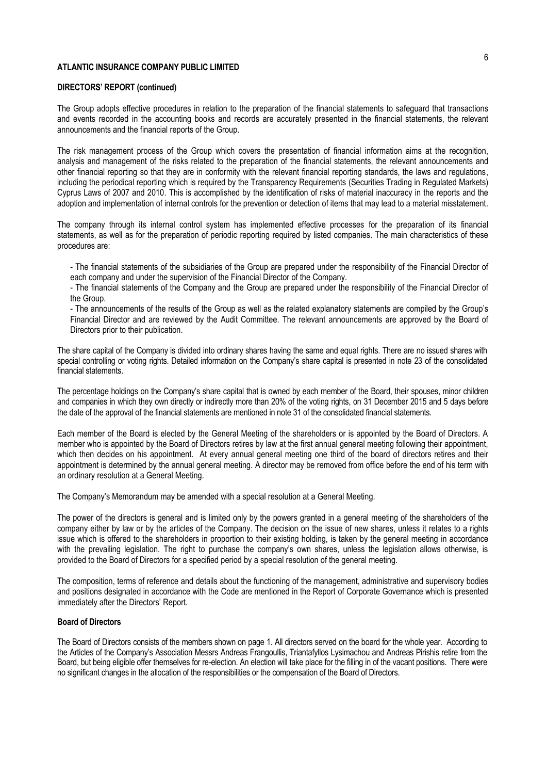### **DIRECTORS' REPORT (continued)**

The Group adopts effective procedures in relation to the preparation of the financial statements to safeguard that transactions and events recorded in the accounting books and records are accurately presented in the financial statements, the relevant announcements and the financial reports of the Group.

The risk management process of the Group which covers the presentation of financial information aims at the recognition, analysis and management of the risks related to the preparation of the financial statements, the relevant announcements and other financial reporting so that they are in conformity with the relevant financial reporting standards, the laws and regulations, including the periodical reporting which is required by the Transparency Requirements (Securities Trading in Regulated Markets) Cyprus Laws of 2007 and 2010. This is accomplished by the identification of risks of material inaccuracy in the reports and the adoption and implementation of internal controls for the prevention or detection of items that may lead to a material misstatement.

The company through its internal control system has implemented effective processes for the preparation of its financial statements, as well as for the preparation of periodic reporting required by listed companies. The main characteristics of these procedures are:

- The financial statements of the subsidiaries of the Group are prepared under the responsibility of the Financial Director of each company and under the supervision of the Financial Director of the Company.

- The financial statements of the Company and the Group are prepared under the responsibility of the Financial Director of the Group.

- The announcements of the results of the Group as well as the related explanatory statements are compiled by the Group's Financial Director and are reviewed by the Audit Committee. The relevant announcements are approved by the Board of Directors prior to their publication.

The share capital of the Company is divided into ordinary shares having the same and equal rights. There are no issued shares with special controlling or voting rights. Detailed information on the Company's share capital is presented in note 23 of the consolidated financial statements.

The percentage holdings on the Company's share capital that is owned by each member of the Board, their spouses, minor children and companies in which they own directly or indirectly more than 20% of the voting rights, on 31 December 2015 and 5 days before the date of the approval of the financial statements are mentioned in note 31 of the consolidated financial statements.

Each member of the Board is elected by the General Meeting of the shareholders or is appointed by the Board of Directors. A member who is appointed by the Board of Directors retires by law at the first annual general meeting following their appointment, which then decides on his appointment. At every annual general meeting one third of the board of directors retires and their appointment is determined by the annual general meeting. A director may be removed from office before the end of his term with an ordinary resolution at a General Meeting.

The Company's Memorandum may be amended with a special resolution at a General Meeting.

The power of the directors is general and is limited only by the powers granted in a general meeting of the shareholders of the company either by law or by the articles of the Company. The decision on the issue of new shares, unless it relates to a rights issue which is offered to the shareholders in proportion to their existing holding, is taken by the general meeting in accordance with the prevailing legislation. The right to purchase the company's own shares, unless the legislation allows otherwise, is provided to the Board of Directors for a specified period by a special resolution of the general meeting.

The composition, terms of reference and details about the functioning of the management, administrative and supervisory bodies and positions designated in accordance with the Code are mentioned in the Report of Corporate Governance which is presented immediately after the Directors' Report.

### **Board of Directors**

The Board of Directors consists of the members shown on page 1. All directors served on the board for the whole year. According to the Articles of the Company's Association Messrs Andreas Frangoullis, Triantafyllos Lysimachou and Andreas Pirishis retire from the Board, but being eligible offer themselves for re-election. An election will take place for the filling in of the vacant positions. There were no significant changes in the allocation of the responsibilities or the compensation of the Board of Directors.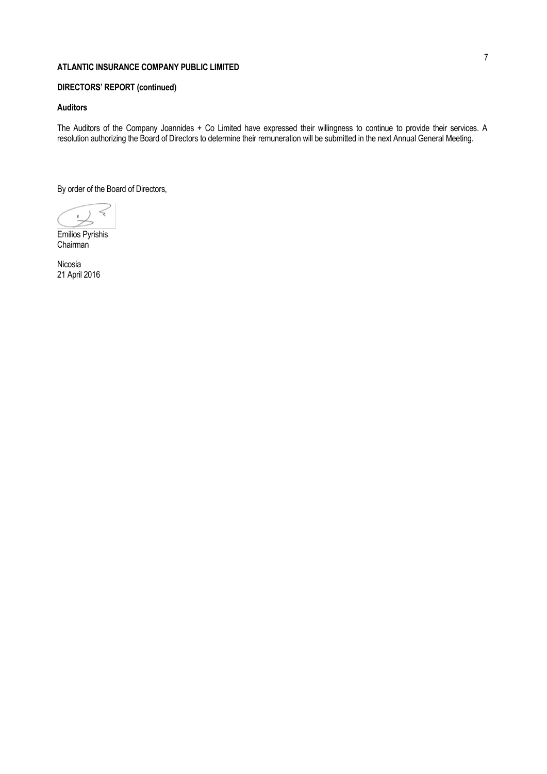# **DIRECTORS' REPORT (continued)**

# **Auditors**

The Auditors of the Company Joannides + Co Limited have expressed their willingness to continue to provide their services. A resolution authorizing the Board of Directors to determine their remuneration will be submitted in the next Annual General Meeting.

By order of the Board of Directors,

Emilios Pyrishis Chairman

Nicosia 21 April 2016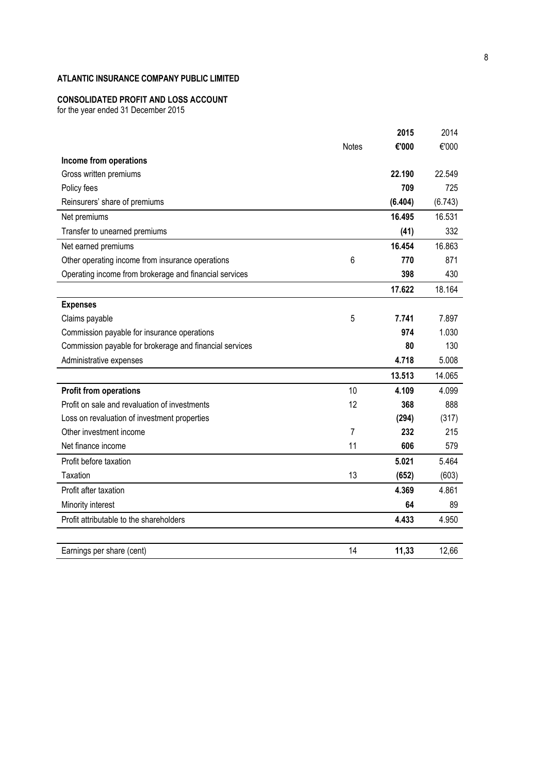### **CONSOLIDATED PROFIT AND LOSS ACCOUNT**

for the year ended 31 December 2015

|                                                         |              | 2015    | 2014    |
|---------------------------------------------------------|--------------|---------|---------|
|                                                         | <b>Notes</b> | €'000   | €'000   |
| Income from operations                                  |              |         |         |
| Gross written premiums                                  |              | 22.190  | 22.549  |
| Policy fees                                             |              | 709     | 725     |
| Reinsurers' share of premiums                           |              | (6.404) | (6.743) |
| Net premiums                                            |              | 16.495  | 16.531  |
| Transfer to unearned premiums                           |              | (41)    | 332     |
| Net earned premiums                                     |              | 16.454  | 16.863  |
| Other operating income from insurance operations        | 6            | 770     | 871     |
| Operating income from brokerage and financial services  |              | 398     | 430     |
|                                                         |              | 17.622  | 18.164  |
| <b>Expenses</b>                                         |              |         |         |
| Claims payable                                          | 5            | 7.741   | 7.897   |
| Commission payable for insurance operations             |              | 974     | 1.030   |
| Commission payable for brokerage and financial services |              | 80      | 130     |
| Administrative expenses                                 |              | 4.718   | 5.008   |
|                                                         |              | 13.513  | 14.065  |
| <b>Profit from operations</b>                           | 10           | 4.109   | 4.099   |
| Profit on sale and revaluation of investments           | 12           | 368     | 888     |
| Loss on revaluation of investment properties            |              | (294)   | (317)   |
| Other investment income                                 | 7            | 232     | 215     |
| Net finance income                                      | 11           | 606     | 579     |
| Profit before taxation                                  |              | 5.021   | 5.464   |
| Taxation                                                | 13           | (652)   | (603)   |
| Profit after taxation                                   |              | 4.369   | 4.861   |
| Minority interest                                       |              | 64      | 89      |
| Profit attributable to the shareholders                 |              | 4.433   | 4.950   |
| Earnings per share (cent)                               | 14           | 11,33   | 12,66   |
|                                                         |              |         |         |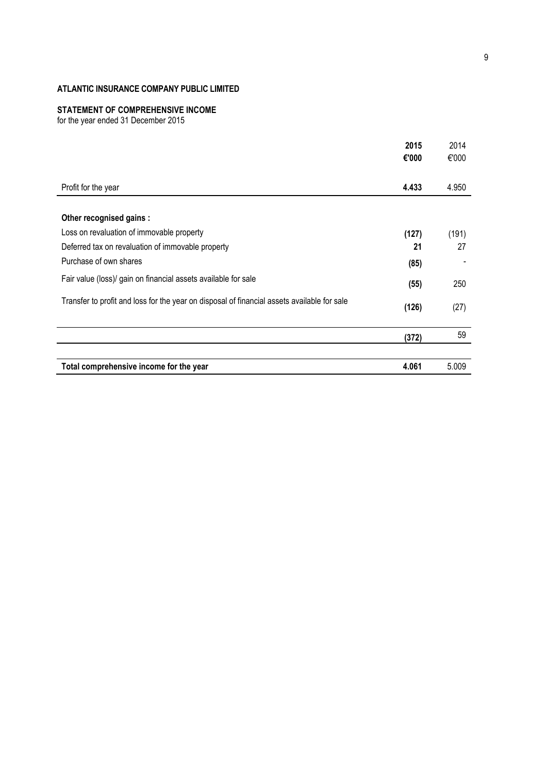# **STATEMENT OF COMPREHENSIVE INCOME**

for the year ended 31 December 2015

|                                                                                             | 2015  | 2014  |
|---------------------------------------------------------------------------------------------|-------|-------|
|                                                                                             | €'000 | €'000 |
| Profit for the year                                                                         | 4.433 | 4.950 |
|                                                                                             |       |       |
| Other recognised gains :                                                                    |       |       |
| Loss on revaluation of immovable property                                                   | (127) | (191) |
| Deferred tax on revaluation of immovable property                                           | 21    | 27    |
| Purchase of own shares                                                                      | (85)  |       |
| Fair value (loss)/ gain on financial assets available for sale                              | (55)  | 250   |
| Transfer to profit and loss for the year on disposal of financial assets available for sale | (126) | (27)  |
|                                                                                             | (372) | 59    |
|                                                                                             |       |       |
| Total comprehensive income for the year                                                     | 4.061 | 5.009 |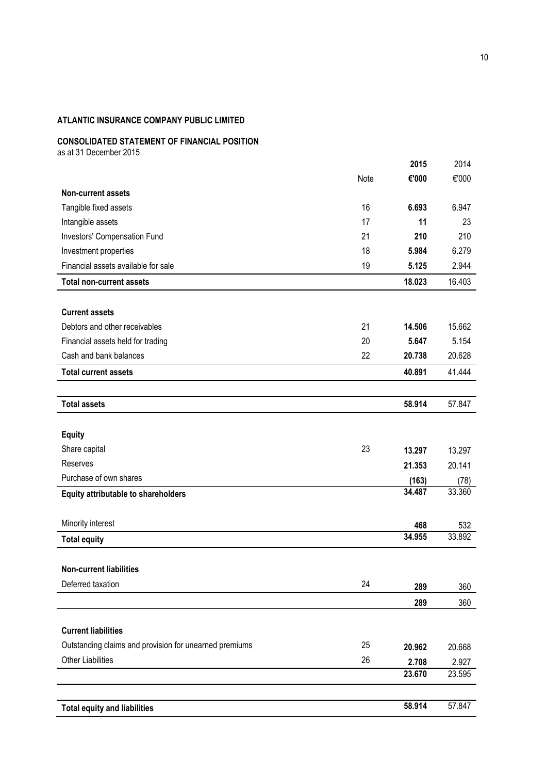# **CONSOLIDATED STATEMENT OF FINANCIAL POSITION**

as at 31 December 2015

|                                                        |      | 2015            | 2014           |
|--------------------------------------------------------|------|-----------------|----------------|
|                                                        | Note | €'000           | €'000          |
| <b>Non-current assets</b>                              |      |                 |                |
| Tangible fixed assets                                  | 16   | 6.693           | 6.947          |
| Intangible assets                                      | 17   | 11              | 23             |
| Investors' Compensation Fund                           | 21   | 210             | 210            |
| Investment properties                                  | 18   | 5.984           | 6.279          |
| Financial assets available for sale                    | 19   | 5.125           | 2.944          |
| <b>Total non-current assets</b>                        |      | 18.023          | 16.403         |
| <b>Current assets</b>                                  |      |                 |                |
| Debtors and other receivables                          | 21   | 14.506          | 15.662         |
| Financial assets held for trading                      | 20   | 5.647           | 5.154          |
| Cash and bank balances                                 | 22   | 20.738          | 20.628         |
| <b>Total current assets</b>                            |      | 40.891          | 41.444         |
|                                                        |      |                 |                |
| <b>Total assets</b>                                    |      | 58.914          | 57.847         |
| <b>Equity</b>                                          |      |                 |                |
| Share capital                                          | 23   | 13.297          | 13.297         |
| Reserves                                               |      | 21.353          | 20.141         |
| Purchase of own shares                                 |      |                 |                |
| Equity attributable to shareholders                    |      | (163)<br>34.487 | (78)<br>33.360 |
|                                                        |      |                 |                |
| Minority interest                                      |      | 468             | 532            |
| <b>Total equity</b>                                    |      | 34.955          | 33.892         |
| <b>Non-current liabilities</b>                         |      |                 |                |
| Deferred taxation                                      | 24   | 289             | 360            |
|                                                        |      | 289             | 360            |
| <b>Current liabilities</b>                             |      |                 |                |
| Outstanding claims and provision for unearned premiums | 25   | 20.962          | 20.668         |
| <b>Other Liabilities</b>                               | 26   | 2.708           | 2.927          |
|                                                        |      | 23.670          | 23.595         |
|                                                        |      |                 |                |
| <b>Total equity and liabilities</b>                    |      | 58.914          | 57.847         |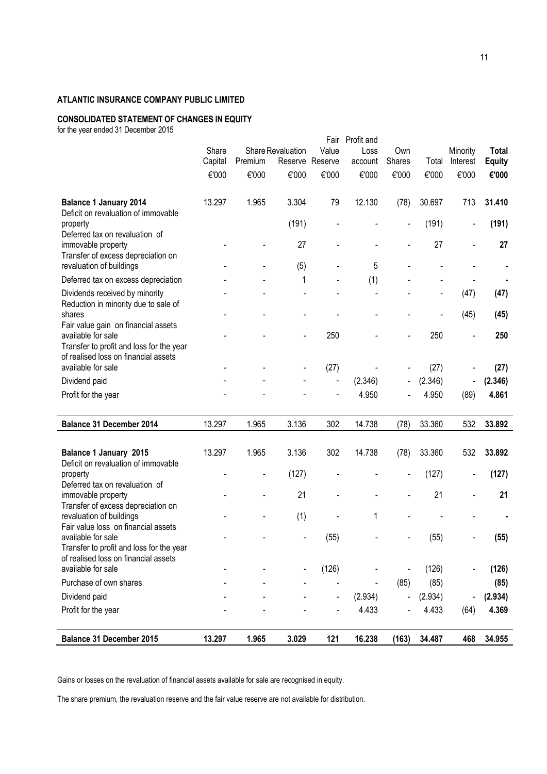# **CONSOLIDATED STATEMENT OF CHANGES IN EQUITY**

for the year ended 31 December 2015

| <b>Balance 31 December 2015</b>                                                                        | 13.297  | 1.965   | 3.029             | 121            | 16.238             | (163)  | 34.487           | 468                          | 34.955           |
|--------------------------------------------------------------------------------------------------------|---------|---------|-------------------|----------------|--------------------|--------|------------------|------------------------------|------------------|
| Profit for the year                                                                                    |         |         |                   |                | 4.433              |        | 4.433            | (64)                         | 4.369            |
| Dividend paid                                                                                          |         |         |                   | $\blacksquare$ | (2.934)            |        | (2.934)          | $\qquad \qquad \blacksquare$ | (2.934)          |
|                                                                                                        |         |         |                   |                |                    |        |                  |                              |                  |
| Purchase of own shares                                                                                 |         |         |                   |                |                    | (85)   | (85)             |                              | (85)             |
| Transfer to profit and loss for the year<br>of realised loss on financial assets<br>available for sale |         |         |                   | (126)          |                    |        | (126)            |                              | (126)            |
| Fair value loss on financial assets<br>available for sale                                              |         |         |                   | (55)           |                    |        | (55)             |                              | (55)             |
| Transfer of excess depreciation on<br>revaluation of buildings                                         |         |         | (1)               |                | 1                  |        |                  |                              |                  |
| Deferred tax on revaluation of<br>immovable property                                                   |         |         | 21                |                |                    |        | 21               | $\blacksquare$               | 21               |
| Deficit on revaluation of immovable<br>property                                                        |         |         | (127)             |                |                    |        | (127)            | $\overline{\phantom{a}}$     | (127)            |
| Balance 1 January 2015                                                                                 | 13.297  | 1.965   | 3.136             | 302            | 14.738             | (78)   | 33.360           | 532                          | 33.892           |
| Balance 31 December 2014                                                                               | 13.297  | 1.965   | 3.136             | 302            | 14.738             | (78)   | 33.360           | 532                          | 33.892           |
| Profit for the year                                                                                    |         |         |                   |                |                    |        |                  | (89)                         |                  |
| Dividend paid                                                                                          |         |         |                   |                | (2.346)<br>4.950   |        | (2.346)<br>4.950 | $\overline{\phantom{a}}$     | (2.346)<br>4.861 |
| available for sale                                                                                     |         |         |                   | (27)           |                    |        | (27)             |                              | (27)             |
| available for sale<br>Transfer to profit and loss for the year<br>of realised loss on financial assets |         |         |                   | 250            |                    |        | 250              |                              | 250              |
| Reduction in minority due to sale of<br>shares<br>Fair value gain on financial assets                  |         |         |                   |                |                    |        |                  | (45)                         | (45)             |
| Dividends received by minority                                                                         |         |         |                   |                |                    |        |                  | (47)                         | (47)             |
| Deferred tax on excess depreciation                                                                    |         |         | 1                 |                | (1)                |        |                  |                              |                  |
| immovable property<br>Transfer of excess depreciation on<br>revaluation of buildings                   |         |         | 27<br>(5)         |                | 5                  |        | 27               |                              | 27               |
| Deficit on revaluation of immovable<br>property<br>Deferred tax on revaluation of                      |         |         | (191)             |                |                    |        | (191)            | $\overline{a}$               | (191)            |
| <b>Balance 1 January 2014</b>                                                                          | 13.297  | 1.965   | 3.304             | 79             | 12.130             | (78)   | 30.697           | 713                          | 31.410           |
|                                                                                                        | €'000   | €'000   | €'000             | €'000          | €'000              | €'000  | €'000            | €'000                        | €'000            |
|                                                                                                        | Capital | Premium | Reserve           | Reserve        | account            | Shares | Total            | Interest                     | <b>Equity</b>    |
|                                                                                                        | Share   |         | Share Revaluation | Fair<br>Value  | Profit and<br>Loss | Own    |                  | Minority                     | <b>Total</b>     |

Gains or losses on the revaluation of financial assets available for sale are recognised in equity.

The share premium, the revaluation reserve and the fair value reserve are not available for distribution.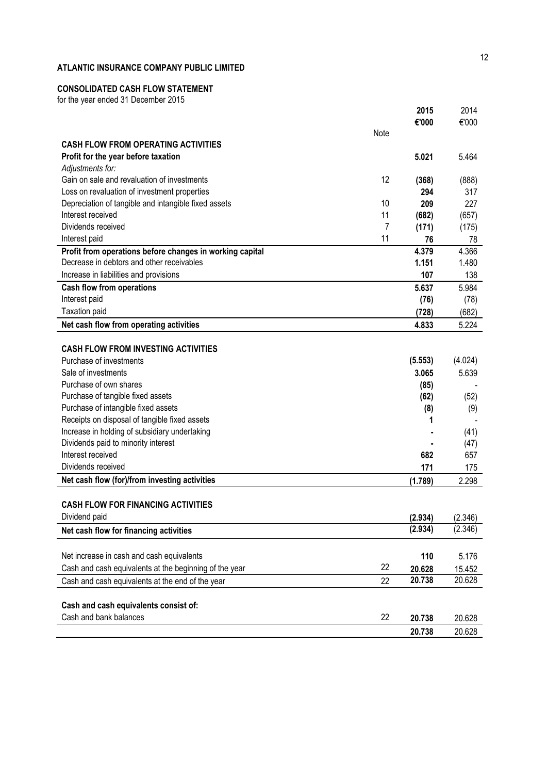# **CONSOLIDATED CASH FLOW STATEMENT**

for the year ended 31 December 2015

|                                                             |      | 2015     | 2014    |
|-------------------------------------------------------------|------|----------|---------|
|                                                             |      | €'000    | €'000   |
|                                                             | Note |          |         |
| <b>CASH FLOW FROM OPERATING ACTIVITIES</b>                  |      |          |         |
| Profit for the year before taxation<br>Adjustments for:     |      | 5.021    | 5.464   |
| Gain on sale and revaluation of investments                 | 12   | (368)    | (888)   |
| Loss on revaluation of investment properties                |      | 294      | 317     |
| Depreciation of tangible and intangible fixed assets        | 10   | 209      | 227     |
| Interest received                                           | 11   | (682)    | (657)   |
| Dividends received                                          | 7    | (171)    | (175)   |
| Interest paid                                               | 11   | 76       | 78      |
| Profit from operations before changes in working capital    |      | 4.379    | 4.366   |
| Decrease in debtors and other receivables                   |      | 1.151    | 1.480   |
| Increase in liabilities and provisions                      |      | 107      | 138     |
| <b>Cash flow from operations</b>                            |      | 5.637    | 5.984   |
| Interest paid                                               |      | (76)     | (78)    |
| <b>Taxation paid</b>                                        |      | (728)    | (682)   |
| Net cash flow from operating activities                     |      | 4.833    | 5.224   |
|                                                             |      |          |         |
| <b>CASH FLOW FROM INVESTING ACTIVITIES</b>                  |      |          |         |
| Purchase of investments                                     |      | (5.553)  | (4.024) |
| Sale of investments                                         |      | 3.065    | 5.639   |
| Purchase of own shares<br>Purchase of tangible fixed assets |      | (85)     |         |
| Purchase of intangible fixed assets                         |      | (62)     | (52)    |
| Receipts on disposal of tangible fixed assets               |      | (8)<br>1 | (9)     |
| Increase in holding of subsidiary undertaking               |      |          | (41)    |
| Dividends paid to minority interest                         |      |          | (47)    |
| Interest received                                           |      | 682      | 657     |
| Dividends received                                          |      | 171      | 175     |
| Net cash flow (for)/from investing activities               |      | (1.789)  | 2.298   |
|                                                             |      |          |         |
| <b>CASH FLOW FOR FINANCING ACTIVITIES</b>                   |      |          |         |
| Dividend paid                                               |      | (2.934)  | (2.346) |
| Net cash flow for financing activities                      |      | (2.934)  | (2.346) |
|                                                             |      |          |         |
| Net increase in cash and cash equivalents                   |      | 110      | 5.176   |
| Cash and cash equivalents at the beginning of the year      | 22   | 20.628   | 15.452  |
| Cash and cash equivalents at the end of the year            | 22   | 20.738   | 20.628  |
|                                                             |      |          |         |
| Cash and cash equivalents consist of:                       |      |          |         |
| Cash and bank balances                                      | 22   | 20.738   | 20.628  |
|                                                             |      | 20.738   | 20.628  |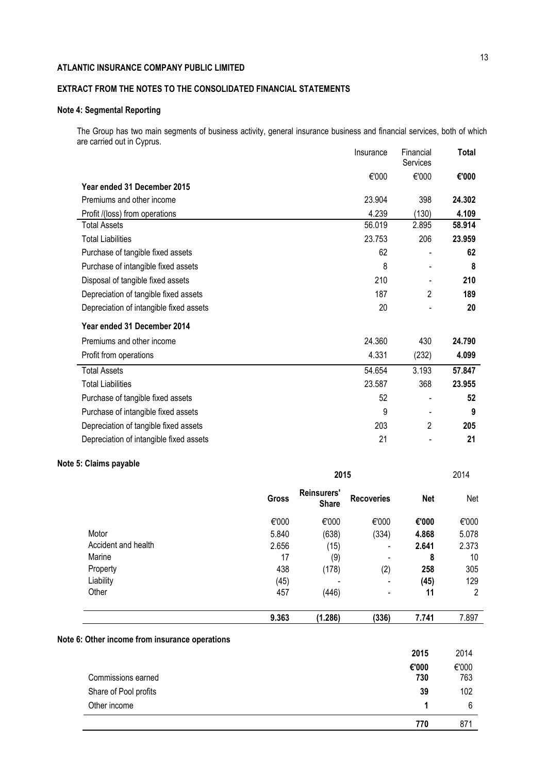# **EXTRACT FROM THE NOTES TO THE CONSOLIDATED FINANCIAL STATEMENTS**

# **Note 4: Segmental Reporting**

The Group has two main segments of business activity, general insurance business and financial services, both of which are carried out in Cyprus. Insurance Financial **Total**

|                                         | <b>Insurance</b> | Financial<br>Services    | i otal |
|-----------------------------------------|------------------|--------------------------|--------|
|                                         | €'000            | €'000                    | €'000  |
| Year ended 31 December 2015             |                  |                          |        |
| Premiums and other income               | 23.904           | 398                      | 24.302 |
| Profit /(loss) from operations          | 4.239            | (130)                    | 4.109  |
| <b>Total Assets</b>                     | 56.019           | 2.895                    | 58,914 |
| <b>Total Liabilities</b>                | 23.753           | 206                      | 23.959 |
| Purchase of tangible fixed assets       | 62               |                          | 62     |
| Purchase of intangible fixed assets     | 8                | $\overline{\phantom{a}}$ | 8      |
| Disposal of tangible fixed assets       | 210              |                          | 210    |
| Depreciation of tangible fixed assets   | 187              | $\overline{2}$           | 189    |
| Depreciation of intangible fixed assets | 20               |                          | 20     |
| Year ended 31 December 2014             |                  |                          |        |
| Premiums and other income               | 24.360           | 430                      | 24.790 |
| Profit from operations                  | 4.331            | (232)                    | 4.099  |
| <b>Total Assets</b>                     | 54.654           | 3.193                    | 57.847 |
| <b>Total Liabilities</b>                | 23.587           | 368                      | 23.955 |
| Purchase of tangible fixed assets       | 52               |                          | 52     |
| Purchase of intangible fixed assets     | 9                |                          | 9      |
| Depreciation of tangible fixed assets   | 203              | $\overline{2}$           | 205    |
| Depreciation of intangible fixed assets | 21               |                          | 21     |

# **Note 5: Claims payable**

|                     | 2015         |                             |                          |            | 2014  |
|---------------------|--------------|-----------------------------|--------------------------|------------|-------|
|                     | <b>Gross</b> | Reinsurers'<br><b>Share</b> | <b>Recoveries</b>        | <b>Net</b> | Net   |
|                     | €'000        | €'000                       | €'000                    | €'000      | €'000 |
| Motor               | 5.840        | (638)                       | (334)                    | 4.868      | 5.078 |
| Accident and health | 2.656        | (15)                        | $\overline{\phantom{a}}$ | 2.641      | 2.373 |
| Marine              | 17           | (9)                         |                          | 8          | 10    |
| Property            | 438          | (178)                       | (2)                      | 258        | 305   |
| Liability           | (45)         |                             | $\overline{\phantom{a}}$ | (45)       | 129   |
| Other               | 457          | (446)                       | $\overline{\phantom{a}}$ | 11         | 2     |
|                     | 9.363        | (1.286)                     | (336)                    | 7.741      | 7.897 |

### **Note 6: Other income from insurance operations**

|                       | 2015  | 2014  |
|-----------------------|-------|-------|
|                       | €'000 | €'000 |
| Commissions earned    | 730   | 763   |
| Share of Pool profits | 39    | 102   |
| Other income          |       | 6     |
|                       | 770   | 871   |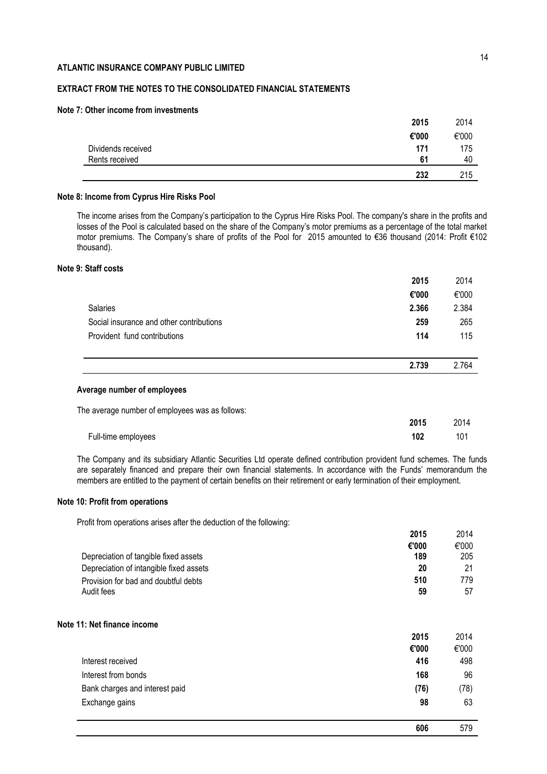# **EXTRACT FROM THE NOTES TO THE CONSOLIDATED FINANCIAL STATEMENTS**

### **Note 7: Other income from investments**

|                    | 232   | 215   |
|--------------------|-------|-------|
| Rents received     | 61    | 40    |
| Dividends received | 171   | 175   |
|                    | €'000 | €'000 |
|                    | 2015  | 2014  |

### **Note 8: Income from Cyprus Hire Risks Pool**

The income arises from the Company's participation to the Cyprus Hire Risks Pool. The company's share in the profits and losses of the Pool is calculated based on the share of the Company's motor premiums as a percentage of the total market motor premiums. Τhe Company's share of profits οf the Pool for 2015 amounted to €36 thousand (2014: Profit €102 thousand).

### **Note 9: Staff costs**

|                                                 | 2015        | 2014  |
|-------------------------------------------------|-------------|-------|
|                                                 | €'000       | €'000 |
| <b>Salaries</b>                                 | 2.366       | 2.384 |
| Social insurance and other contributions        | 259         | 265   |
| Provident fund contributions                    | 114         | 115   |
|                                                 |             |       |
|                                                 | 2.739       | 2.764 |
| Average number of employees                     |             |       |
| The average number of employees was as follows: |             |       |
|                                                 | <b>OOAC</b> | 0011  |

|                     | 20 I J | 2014 - |
|---------------------|--------|--------|
| Full-time employees | 102    | 101    |

The Company and its subsidiary Atlantic Securities Ltd operate defined contribution provident fund schemes. The funds are separately financed and prepare their own financial statements. In accordance with the Funds' memorandum the members are entitled to the payment of certain benefits on their retirement or early termination of their employment.

# **Note 10: Profit from operations**

Profit from operations arises after the deduction of the following:

| LU I J | LU IT. |
|--------|--------|
| €'000  | €'000  |
| 189    | 205    |
| 20     | 21     |
| 510    | 779    |
| 59     | 57     |
|        |        |

### **Note 11: Net finance income**

|                                | 2015  | 2014  |
|--------------------------------|-------|-------|
|                                | €'000 | €'000 |
| Interest received              | 416   | 498   |
| Interest from bonds            | 168   | 96    |
| Bank charges and interest paid | (76)  | (78)  |
| Exchange gains                 | 98    | 63    |
|                                |       |       |

**2015** 2014

**606** 579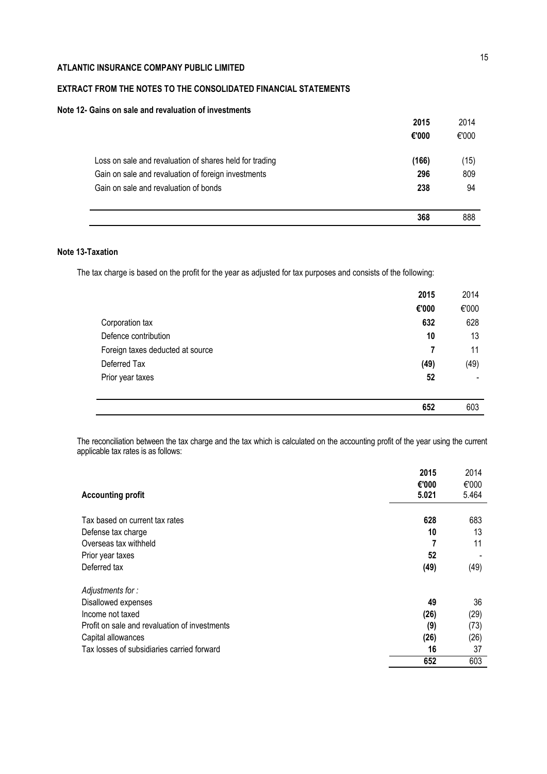# **EXTRACT FROM THE NOTES TO THE CONSOLIDATED FINANCIAL STATEMENTS**

# **Note 12- Gains on sale and revaluation of investments**

|                                                         | 2015  | 2014  |
|---------------------------------------------------------|-------|-------|
|                                                         | €'000 | €'000 |
| Loss on sale and revaluation of shares held for trading | (166) | (15)  |
| Gain on sale and revaluation of foreign investments     | 296   | 809   |
| Gain on sale and revaluation of bonds                   | 238   | 94    |
|                                                         | 368   | 888   |

# **Note 13-Taxation**

The tax charge is based on the profit for the year as adjusted for tax purposes and consists of the following:

|                                  | 2015  | 2014  |
|----------------------------------|-------|-------|
|                                  | €'000 | €'000 |
| Corporation tax                  | 632   | 628   |
| Defence contribution             | 10    | 13    |
| Foreign taxes deducted at source | 7     | 11    |
| Deferred Tax                     | (49)  | (49)  |
| Prior year taxes                 | 52    |       |
|                                  |       |       |
|                                  | 652   | 603   |

The reconciliation between the tax charge and the tax which is calculated on the accounting profit of the year using the current applicable tax rates is as follows:

| <b>Accounting profit</b>                      | 2015<br>€'000<br>5.021 | 2014<br>€'000<br>5.464 |
|-----------------------------------------------|------------------------|------------------------|
| Tax based on current tax rates                |                        |                        |
|                                               | 628                    | 683                    |
| Defense tax charge                            | 10                     | 13                     |
| Overseas tax withheld                         |                        | 11                     |
| Prior year taxes                              | 52                     |                        |
| Deferred tax                                  | (49)                   | (49)                   |
| Adjustments for:                              |                        |                        |
| Disallowed expenses                           | 49                     | 36                     |
| Income not taxed                              | (26)                   | (29)                   |
| Profit on sale and revaluation of investments | (9)                    | (73)                   |
| Capital allowances                            | (26)                   | (26)                   |
| Tax losses of subsidiaries carried forward    | 16                     | 37                     |
|                                               | 652                    | 603                    |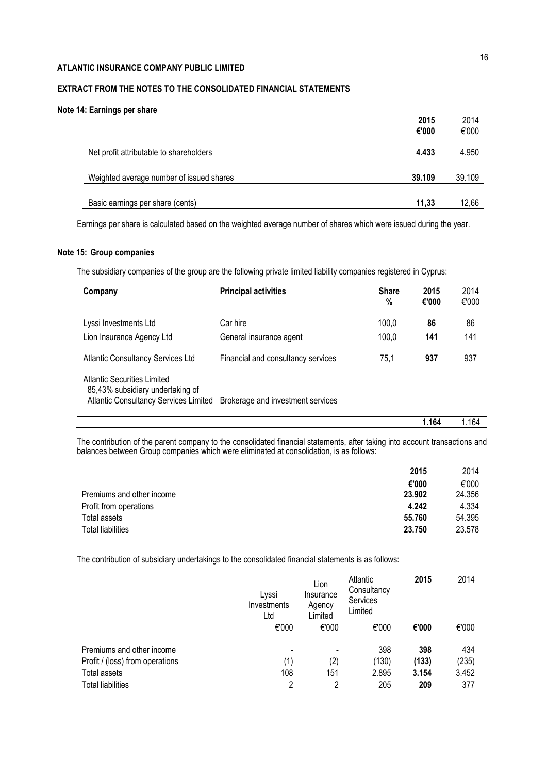# **EXTRACT FROM THE NOTES TO THE CONSOLIDATED FINANCIAL STATEMENTS**

### **Note 14: Earnings per share**

|                                          | 2015<br>€'000 | 2014<br>€'000 |
|------------------------------------------|---------------|---------------|
| Net profit attributable to shareholders  | 4.433         | 4.950         |
| Weighted average number of issued shares | 39.109        | 39.109        |
| Basic earnings per share (cents)         | 11.33         | 12.66         |

Earnings per share is calculated based on the weighted average number of shares which were issued during the year.

### **Note 15: Group companies**

The subsidiary companies of the group are the following private limited liability companies registered in Cyprus:

| Company                                                                                                         | <b>Principal activities</b>        | <b>Share</b><br>% | 2015<br>€'000 | 2014<br>€'000 |
|-----------------------------------------------------------------------------------------------------------------|------------------------------------|-------------------|---------------|---------------|
| Lyssi Investments Ltd                                                                                           | Car hire                           | 100,0             | 86            | 86            |
| Lion Insurance Agency Ltd                                                                                       | General insurance agent            | 100,0             | 141           | 141           |
| <b>Atlantic Consultancy Services Ltd</b>                                                                        | Financial and consultancy services | 75,1              | 937           | 937           |
| Atlantic Securities Limited<br>85,43% subsidiary undertaking of<br><b>Atlantic Consultancy Services Limited</b> | Brokerage and investment services  |                   |               |               |

The contribution of the parent company to the consolidated financial statements, after taking into account transactions and balances between Group companies which were eliminated at consolidation, is as follows:

|                           | 2015   | 2014   |
|---------------------------|--------|--------|
|                           | €'000  | €'000  |
| Premiums and other income | 23,902 | 24.356 |
| Profit from operations    | 4.242  | 4.334  |
| Total assets              | 55,760 | 54.395 |
| <b>Total liabilities</b>  | 23.750 | 23.578 |

The contribution of subsidiary undertakings to the consolidated financial statements is as follows:

|                                 | Lyssi<br>Investments<br>Ltd | Lion<br>Insurance<br>Agency<br>Limited | Atlantic<br>Consultancy<br>Services<br>Limited | 2015  | 2014  |
|---------------------------------|-----------------------------|----------------------------------------|------------------------------------------------|-------|-------|
|                                 | €'000                       | €'000                                  | €'000                                          | €'000 | €'000 |
| Premiums and other income       |                             | $\overline{\phantom{a}}$               | 398                                            | 398   | 434   |
| Profit / (loss) from operations | (1)                         | (2)                                    | (130)                                          | (133) | (235) |
| Total assets                    | 108                         | 151                                    | 2.895                                          | 3.154 | 3.452 |
| <b>Total liabilities</b>        | 2                           | 2                                      | 205                                            | 209   | 377   |

**1.164** 1.164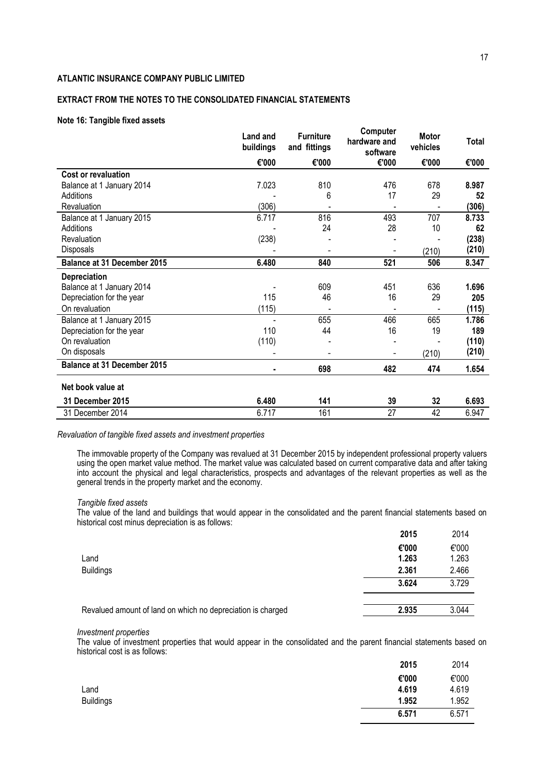# **EXTRACT FROM THE NOTES TO THE CONSOLIDATED FINANCIAL STATEMENTS**

### **Note 16: Tangible fixed assets**

|                                    | Land and<br>buildings | <b>Furniture</b><br>and fittings | Computer<br>hardware and<br>software | <b>Motor</b><br>vehicles | Total |
|------------------------------------|-----------------------|----------------------------------|--------------------------------------|--------------------------|-------|
|                                    | €'000                 | €'000                            | €'000                                | €'000                    | €'000 |
| Cost or revaluation                |                       |                                  |                                      |                          |       |
| Balance at 1 January 2014          | 7.023                 | 810                              | 476                                  | 678                      | 8.987 |
| Additions                          |                       | 6                                | 17                                   | 29                       | 52    |
| Revaluation                        | (306)                 |                                  |                                      |                          | (306) |
| Balance at 1 January 2015          | 6.717                 | 816                              | 493                                  | 707                      | 8.733 |
| Additions                          |                       | 24                               | 28                                   | 10                       | 62    |
| Revaluation                        | (238)                 |                                  |                                      |                          | (238) |
| Disposals                          |                       |                                  |                                      | (210)                    | (210) |
| <b>Balance at 31 December 2015</b> | 6.480                 | 840                              | 521                                  | 506                      | 8.347 |
| <b>Depreciation</b>                |                       |                                  |                                      |                          |       |
| Balance at 1 January 2014          |                       | 609                              | 451                                  | 636                      | 1.696 |
| Depreciation for the year          | 115                   | 46                               | 16                                   | 29                       | 205   |
| On revaluation                     | (115)                 |                                  |                                      |                          | (115) |
| Balance at 1 January 2015          |                       | 655                              | 466                                  | 665                      | 1.786 |
| Depreciation for the year          | 110                   | 44                               | 16                                   | 19                       | 189   |
| On revaluation                     | (110)                 |                                  |                                      |                          | (110) |
| On disposals                       |                       |                                  |                                      | (210)                    | (210) |
| <b>Balance at 31 December 2015</b> |                       | 698                              | 482                                  | 474                      | 1.654 |
| Net book value at                  |                       |                                  |                                      |                          |       |
| <b>31 December 2015</b>            | 6.480                 | 141                              | 39                                   | 32                       | 6.693 |
| 31 December 2014                   | 6.717                 | 161                              | 27                                   | 42                       | 6.947 |

*Revaluation of tangible fixed assets and investment properties*

The immovable property of the Company was revalued at 31 December 2015 by independent professional property valuers using the open market value method. The market value was calculated based on current comparative data and after taking into account the physical and legal characteristics, prospects and advantages of the relevant properties as well as the general trends in the property market and the economy.

#### *Tangible fixed assets*

The value of the land and buildings that would appear in the consolidated and the parent financial statements based on historical cost minus depreciation is as follows:

|                                                             | 2015  | 2014  |
|-------------------------------------------------------------|-------|-------|
|                                                             | €'000 | €'000 |
| Land                                                        | 1.263 | 1.263 |
| <b>Buildings</b>                                            | 2.361 | 2.466 |
|                                                             | 3.624 | 3.729 |
|                                                             |       |       |
| Revalued amount of land on which no depreciation is charged | 2.935 | 3.044 |

#### *Investment properties*

The value of investment properties that would appear in the consolidated and the parent financial statements based on historical cost is as follows:

|                  | 2015  | 2014  |
|------------------|-------|-------|
|                  | €'000 | €'000 |
| Land             | 4.619 | 4.619 |
| <b>Buildings</b> | 1.952 | 1.952 |
|                  | 6.571 | 6.571 |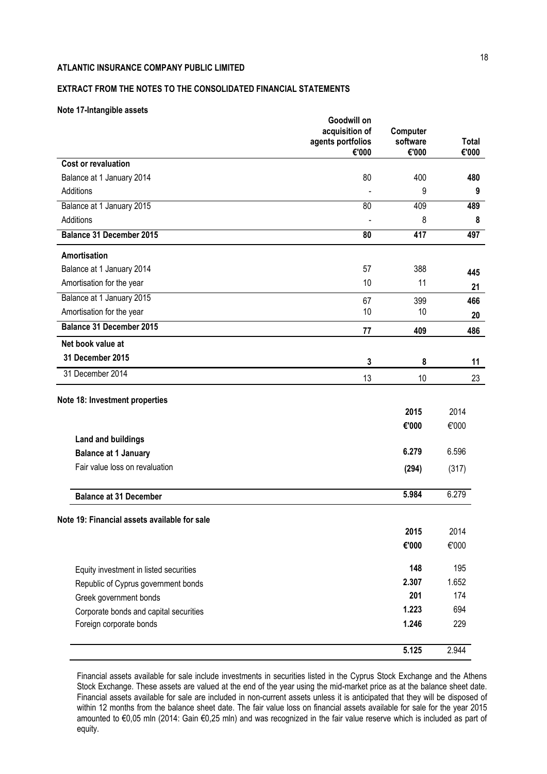# **EXTRACT FROM THE NOTES TO THE CONSOLIDATED FINANCIAL STATEMENTS**

### **Note 17-Intangible assets**

|                                              | Goodwill on<br>acquisition of<br>agents portfolios<br>€'000 | Computer<br>software<br>€'000 | <b>Total</b><br>€'000 |
|----------------------------------------------|-------------------------------------------------------------|-------------------------------|-----------------------|
| <b>Cost or revaluation</b>                   |                                                             |                               |                       |
| Balance at 1 January 2014                    | 80                                                          | 400                           | 480                   |
| Additions                                    |                                                             | 9                             | 9                     |
| Balance at 1 January 2015                    | 80                                                          | 409                           | 489                   |
| Additions                                    |                                                             | 8                             | 8                     |
| <b>Balance 31 December 2015</b>              | 80                                                          | 417                           | 497                   |
| <b>Amortisation</b>                          |                                                             |                               |                       |
| Balance at 1 January 2014                    | 57                                                          | 388                           | 445                   |
| Amortisation for the year                    | 10                                                          | 11                            | 21                    |
| Balance at 1 January 2015                    | 67                                                          | 399                           | 466                   |
| Amortisation for the year                    | 10                                                          | 10                            | 20                    |
| <b>Balance 31 December 2015</b>              | 77                                                          | 409                           | 486                   |
| Net book value at                            |                                                             |                               |                       |
| 31 December 2015                             | $\mathbf{3}$                                                | 8                             | 11                    |
| 31 December 2014                             | 13                                                          | 10                            | 23                    |
| Note 18: Investment properties               |                                                             |                               |                       |
|                                              |                                                             | 2015                          | 2014                  |
|                                              |                                                             | €'000                         | €'000                 |
| <b>Land and buildings</b>                    |                                                             |                               |                       |
| <b>Balance at 1 January</b>                  |                                                             | 6.279                         | 6.596                 |
| Fair value loss on revaluation               |                                                             | (294)                         | (317)                 |
|                                              |                                                             |                               |                       |
| <b>Balance at 31 December</b>                |                                                             | 5.984                         | 6.279                 |
| Note 19: Financial assets available for sale |                                                             |                               |                       |
|                                              |                                                             | 2015                          | 2014                  |
|                                              |                                                             | €'000                         | €'000                 |
| Equity investment in listed securities       |                                                             | 148                           | 195                   |
| Republic of Cyprus government bonds          |                                                             | 2.307                         | 1.652                 |
| Greek government bonds                       |                                                             | 201                           | 174                   |
| Corporate bonds and capital securities       |                                                             | 1.223                         | 694                   |
| Foreign corporate bonds                      |                                                             | 1.246                         | 229                   |
|                                              |                                                             |                               | 2.944                 |
|                                              |                                                             | 5.125                         |                       |

Financial assets available for sale include investments in securities listed in the Cyprus Stock Exchange and the Athens Stock Exchange. These assets are valued at the end of the year using the mid-market price as at the balance sheet date. Financial assets available for sale are included in non-current assets unless it is anticipated that they will be disposed of within 12 months from the balance sheet date. The fair value loss on financial assets available for sale for the year 2015 amounted to €0,05 mln (2014: Gain €0,25 mln) and was recognized in the fair value reserve which is included as part of equity.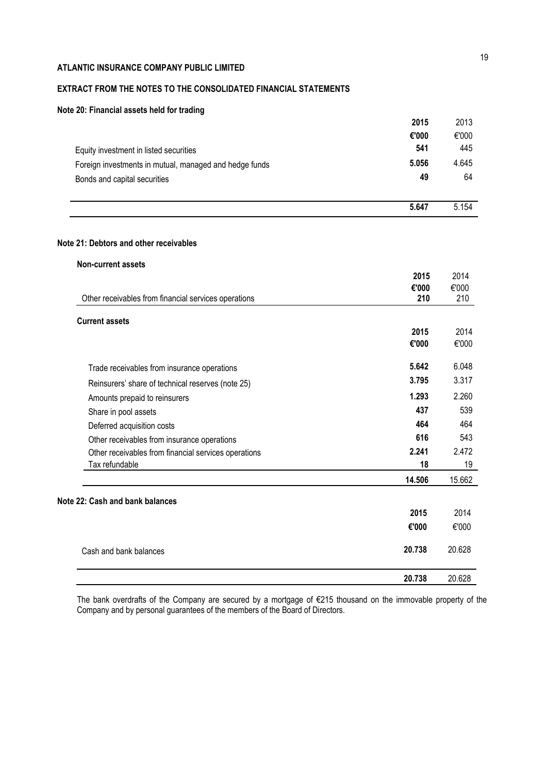# **EXTRACT FROM THE NOTES TO THE CONSOLIDATED FINANCIAL STATEMENTS**

# **Note 20: Financial assets held for trading**

|                                                        | 2015  | 2013  |
|--------------------------------------------------------|-------|-------|
|                                                        | €'000 | €'000 |
| Equity investment in listed securities                 | 541   | 445   |
| Foreign investments in mutual, managed and hedge funds | 5.056 | 4.645 |
| Bonds and capital securities                           | 49    | 64    |
|                                                        |       |       |
|                                                        | 5.647 | 5.154 |

# **Note 21: Debtors and other receivables**

| <b>Non-current assets</b>                            |        |        |
|------------------------------------------------------|--------|--------|
|                                                      | 2015   | 2014   |
|                                                      | €'000  | €'000  |
| Other receivables from financial services operations | 210    | 210    |
| <b>Current assets</b>                                |        |        |
|                                                      | 2015   | 2014   |
|                                                      | €'000  | €'000  |
| Trade receivables from insurance operations          | 5.642  | 6.048  |
| Reinsurers' share of technical reserves (note 25)    | 3.795  | 3.317  |
| Amounts prepaid to reinsurers                        | 1.293  | 2.260  |
| Share in pool assets                                 | 437    | 539    |
| Deferred acquisition costs                           | 464    | 464    |
| Other receivables from insurance operations          | 616    | 543    |
| Other receivables from financial services operations | 2.241  | 2.472  |
| Tax refundable                                       | 18     | 19     |
|                                                      | 14.506 | 15.662 |
| Note 22: Cash and bank balances                      |        |        |
|                                                      | 2015   | 2014   |
|                                                      | €'000  | €'000  |
| Cash and bank balances                               | 20.738 | 20.628 |
|                                                      | 20.738 | 20.628 |

The bank overdrafts of the Company are secured by a mortgage of €215 thousand on the immovable property of the Company and by personal guarantees of the members of the Board of Directors.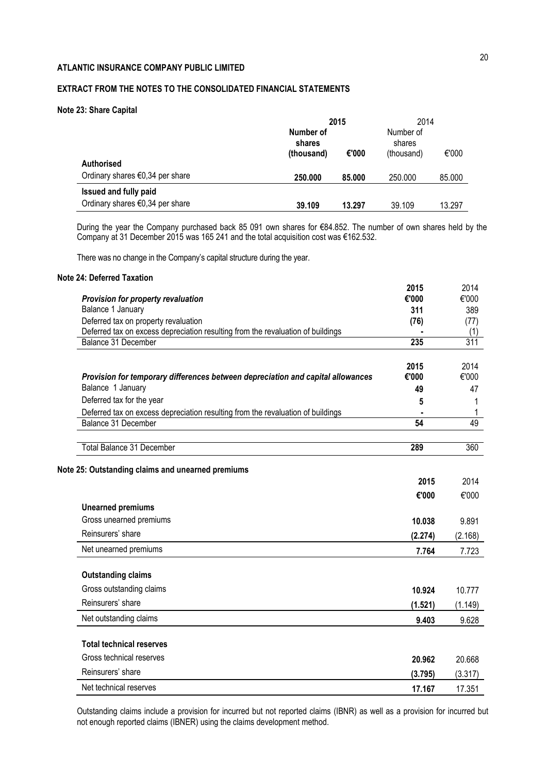# **EXTRACT FROM THE NOTES TO THE CONSOLIDATED FINANCIAL STATEMENTS**

### **Note 23: Share Capital**

|                                           |                     | 2015   | 2014                |        |
|-------------------------------------------|---------------------|--------|---------------------|--------|
|                                           | Number of<br>shares |        | Number of<br>shares |        |
|                                           | (thousand)          | €'000  | (thousand)          | €'000  |
| <b>Authorised</b>                         |                     |        |                     |        |
| Ordinary shares $\epsilon$ 0,34 per share | 250,000             | 85.000 | 250.000             | 85.000 |
| Issued and fully paid                     |                     |        |                     |        |
| Ordinary shares $\epsilon$ 0,34 per share | 39.109              | 13.297 | 39.109              | 13.297 |

During the year the Company purchased back 85 091 own shares for €84.852. The number of own shares held by the Company at 31 December 2015 was 165 241 and the total acquisition cost was €162.532.

There was no change in the Company's capital structure during the year.

# **Note 24: Deferred Taxation**

|                                                                                 | 2015    | 2014    |
|---------------------------------------------------------------------------------|---------|---------|
| Provision for property revaluation                                              | €'000   | €'000   |
| Balance 1 January                                                               | 311     | 389     |
| Deferred tax on property revaluation                                            | (76)    | (77)    |
| Deferred tax on excess depreciation resulting from the revaluation of buildings |         | (1)     |
| Balance 31 December                                                             | 235     | 311     |
|                                                                                 | 2015    | 2014    |
| Provision for temporary differences between depreciation and capital allowances | €'000   | €'000   |
| Balance 1 January                                                               | 49      | 47      |
| Deferred tax for the year                                                       | 5       |         |
| Deferred tax on excess depreciation resulting from the revaluation of buildings |         |         |
| Balance 31 December                                                             | 54      |         |
| Total Balance 31 December                                                       | 289     | 360     |
| Note 25: Outstanding claims and unearned premiums                               |         |         |
|                                                                                 | 2015    | 2014    |
|                                                                                 |         |         |
| <b>Unearned premiums</b>                                                        | €'000   | €'000   |
| Gross unearned premiums                                                         |         |         |
|                                                                                 | 10.038  | 9.891   |
| Reinsurers' share                                                               | (2.274) | (2.168) |
| Net unearned premiums                                                           | 7.764   | 7.723   |
| <b>Outstanding claims</b>                                                       |         |         |
| Gross outstanding claims                                                        | 10.924  | 10.777  |
| Reinsurers' share                                                               | (1.521) | (1.149) |
| Net outstanding claims                                                          | 9.403   | 9.628   |
| <b>Total technical reserves</b>                                                 |         |         |
| Gross technical reserves                                                        |         |         |
|                                                                                 | 20.962  | 20.668  |
| Reinsurers' share                                                               |         |         |
|                                                                                 | (3.795) | (3.317) |

Outstanding claims include a provision for incurred but not reported claims (IBNR) as well as a provision for incurred but not enough reported claims (IBNER) using the claims development method.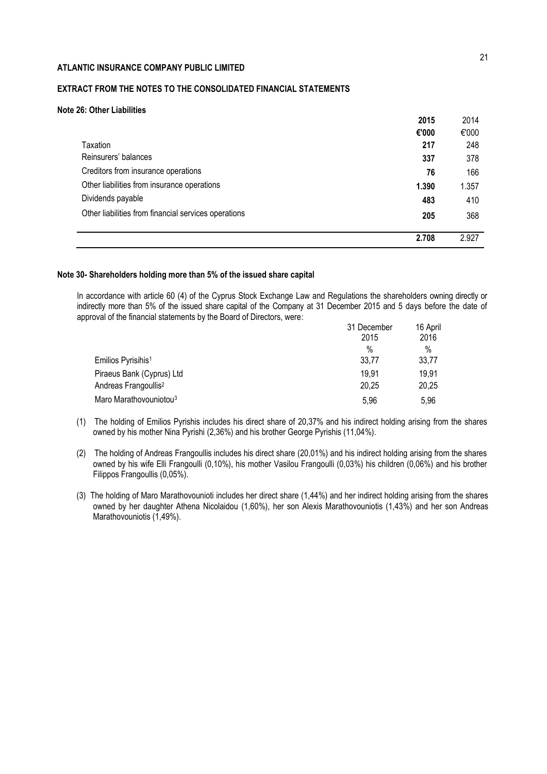# **EXTRACT FROM THE NOTES TO THE CONSOLIDATED FINANCIAL STATEMENTS**

### **Note 26: Other Liabilities**

|                                                      | 2015  | 2014  |
|------------------------------------------------------|-------|-------|
|                                                      | €'000 | €'000 |
| Taxation                                             | 217   | 248   |
| Reinsurers' balances                                 | 337   | 378   |
| Creditors from insurance operations                  | 76    | 166   |
| Other liabilities from insurance operations          | 1.390 | 1.357 |
| Dividends payable                                    | 483   | 410   |
| Other liabilities from financial services operations | 205   | 368   |
|                                                      | 2.708 | 2.927 |

### **Note 30- Shareholders holding more than 5% of the issued share capital**

In accordance with article 60 (4) of the Cyprus Stock Exchange Law and Regulations the shareholders owning directly or indirectly more than 5% of the issued share capital of the Company at 31 December 2015 and 5 days before the date of approval of the financial statements by the Board of Directors, were:

|                                    | 31 December | 16 April<br>2016 |  |
|------------------------------------|-------------|------------------|--|
|                                    | 2015        |                  |  |
|                                    | %           | $\%$             |  |
| Emilios Pyrisihis <sup>1</sup>     | 33,77       | 33,77            |  |
| Piraeus Bank (Cyprus) Ltd          | 19.91       | 19,91            |  |
| Andreas Frangoullis <sup>2</sup>   | 20,25       | 20,25            |  |
| Maro Marathovouniotou <sup>3</sup> | 5.96        | 5.96             |  |

- (1) The holding of Emilios Pyrishis includes his direct share of 20,37% and his indirect holding arising from the shares owned by his mother Nina Pyrishi (2,36%) and his brother George Pyrishis (11,04%).
- (2) The holding of Andreas Frangoullis includes his direct share (20,01%) and his indirect holding arising from the shares owned by his wife Elli Frangoulli (0,10%), his mother Vasilou Frangoulli (0,03%) his children (0,06%) and his brother Filippos Frangoullis (0,05%).
- (3) The holding of Maro Marathovounioti includes her direct share (1,44%) and her indirect holding arising from the shares owned by her daughter Athena Nicolaidou (1,60%), her son Alexis Marathovouniotis (1,43%) and her son Andreas Marathovouniotis (1,49%).